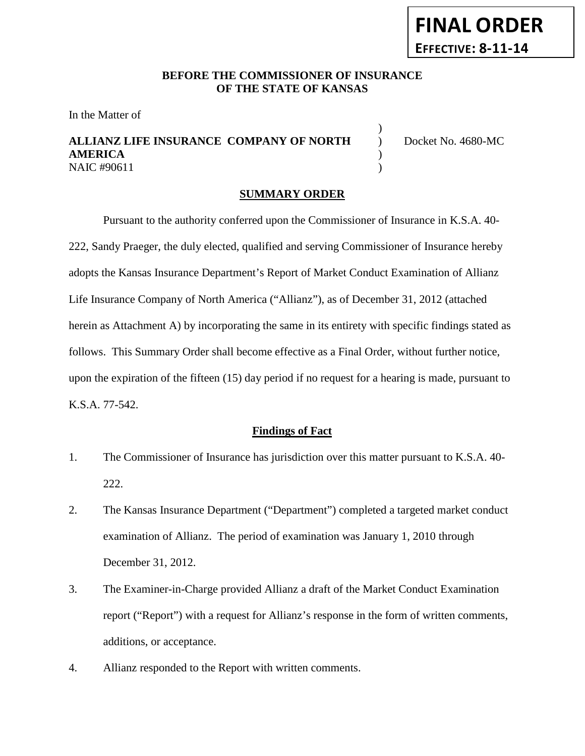## **BEFORE THE COMMISSIONER OF INSURANCE OF THE STATE OF KANSAS**

In the Matter of

### **ALLIANZ LIFE INSURANCE COMPANY OF NORTH** ) Docket No. 4680-MC **AMERICA** ) NAIC #90611 (1)

)

## **SUMMARY ORDER**

Pursuant to the authority conferred upon the Commissioner of Insurance in K.S.A. 40- 222, Sandy Praeger, the duly elected, qualified and serving Commissioner of Insurance hereby adopts the Kansas Insurance Department's Report of Market Conduct Examination of Allianz Life Insurance Company of North America ("Allianz"), as of December 31, 2012 (attached herein as Attachment A) by incorporating the same in its entirety with specific findings stated as follows. This Summary Order shall become effective as a Final Order, without further notice, upon the expiration of the fifteen (15) day period if no request for a hearing is made, pursuant to K.S.A. 77-542.

### **Findings of Fact**

- 1. The Commissioner of Insurance has jurisdiction over this matter pursuant to K.S.A. 40- 222.
- 2. The Kansas Insurance Department ("Department") completed a targeted market conduct examination of Allianz. The period of examination was January 1, 2010 through December 31, 2012.
- 3. The Examiner-in-Charge provided Allianz a draft of the Market Conduct Examination report ("Report") with a request for Allianz's response in the form of written comments, additions, or acceptance.
- 4. Allianz responded to the Report with written comments.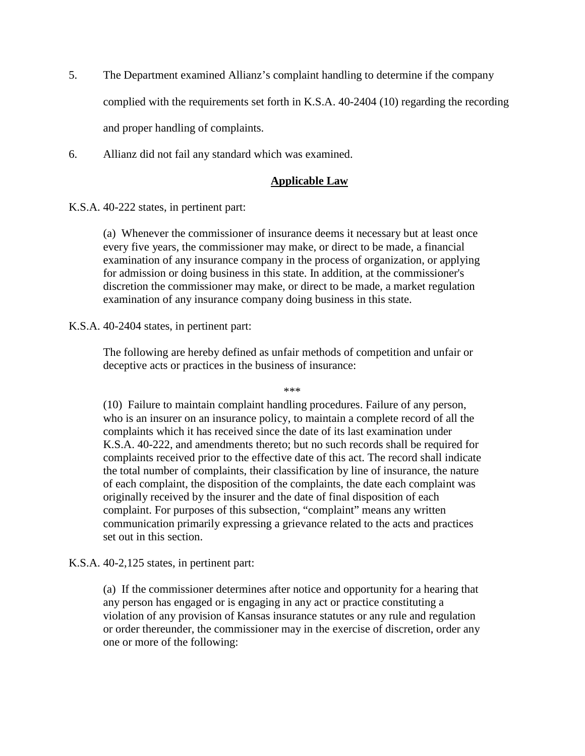- 5. The Department examined Allianz's complaint handling to determine if the company complied with the requirements set forth in K.S.A. 40-2404 (10) regarding the recording and proper handling of complaints.
- 6. Allianz did not fail any standard which was examined.

#### **Applicable Law**

K.S.A. 40-222 states, in pertinent part:

(a) Whenever the commissioner of insurance deems it necessary but at least once every five years, the commissioner may make, or direct to be made, a financial examination of any insurance company in the process of organization, or applying for admission or doing business in this state. In addition, at the commissioner's discretion the commissioner may make, or direct to be made, a market regulation examination of any insurance company doing business in this state.

K.S.A. 40-2404 states, in pertinent part:

The following are hereby defined as unfair methods of competition and unfair or deceptive acts or practices in the business of insurance:

\*\*\*

(10) Failure to maintain complaint handling procedures. Failure of any person, who is an insurer on an insurance policy, to maintain a complete record of all the complaints which it has received since the date of its last examination under K.S.A. 40-222, and amendments thereto; but no such records shall be required for complaints received prior to the effective date of this act. The record shall indicate the total number of complaints, their classification by line of insurance, the nature of each complaint, the disposition of the complaints, the date each complaint was originally received by the insurer and the date of final disposition of each complaint. For purposes of this subsection, "complaint" means any written communication primarily expressing a grievance related to the acts and practices set out in this section.

K.S.A. 40-2,125 states, in pertinent part:

(a) If the commissioner determines after notice and opportunity for a hearing that any person has engaged or is engaging in any act or practice constituting a violation of any provision of Kansas insurance statutes or any rule and regulation or order thereunder, the commissioner may in the exercise of discretion, order any one or more of the following: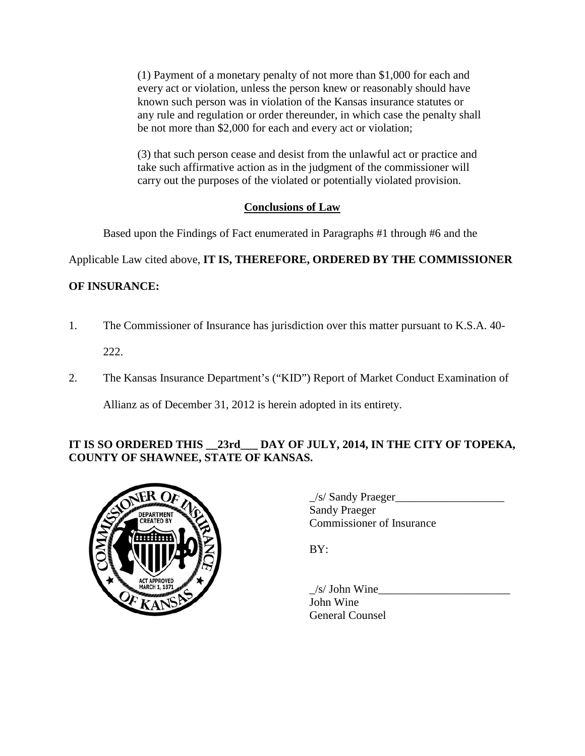(1) Payment of a monetary penalty of not more than \$1,000 for each and every act or violation, unless the person knew or reasonably should have known such person was in violation of the Kansas insurance statutes or any rule and regulation or order thereunder, in which case the penalty shall be not more than \$2,000 for each and every act or violation;

(3) that such person cease and desist from the unlawful act or practice and take such affirmative action as in the judgment of the commissioner will carry out the purposes of the violated or potentially violated provision.

# **Conclusions of Law**

Based upon the Findings of Fact enumerated in Paragraphs #1 through #6 and the

Applicable Law cited above, **IT IS, THEREFORE, ORDERED BY THE COMMISSIONER** 

# **OF INSURANCE:**

1. The Commissioner of Insurance has jurisdiction over this matter pursuant to K.S.A. 40-

222.

2. The Kansas Insurance Department's ("KID") Report of Market Conduct Examination of Allianz as of December 31, 2012 is herein adopted in its entirety.

# **IT IS SO ORDERED THIS \_\_23rd\_\_\_ DAY OF JULY, 2014, IN THE CITY OF TOPEKA, COUNTY OF SHAWNEE, STATE OF KANSAS.**



 $\angle$ s/ Sandy Praeger $\angle$ Sandy Praeger Commissioner of Insurance

 $BY:$ 

 $\angle$ s/ John Wine John Wine General Counsel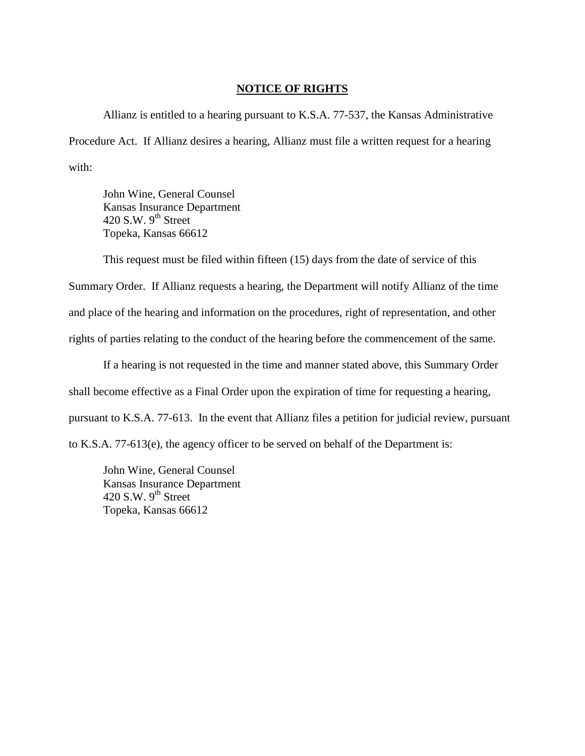#### **NOTICE OF RIGHTS**

Allianz is entitled to a hearing pursuant to K.S.A. 77-537, the Kansas Administrative Procedure Act. If Allianz desires a hearing, Allianz must file a written request for a hearing with:

John Wine, General Counsel Kansas Insurance Department 420 S.W.  $9<sup>th</sup>$  Street Topeka, Kansas 66612

This request must be filed within fifteen (15) days from the date of service of this Summary Order. If Allianz requests a hearing, the Department will notify Allianz of the time and place of the hearing and information on the procedures, right of representation, and other rights of parties relating to the conduct of the hearing before the commencement of the same.

If a hearing is not requested in the time and manner stated above, this Summary Order shall become effective as a Final Order upon the expiration of time for requesting a hearing, pursuant to K.S.A. 77-613. In the event that Allianz files a petition for judicial review, pursuant to K.S.A. 77-613(e), the agency officer to be served on behalf of the Department is:

John Wine, General Counsel Kansas Insurance Department 420 S.W.  $9<sup>th</sup>$  Street Topeka, Kansas 66612